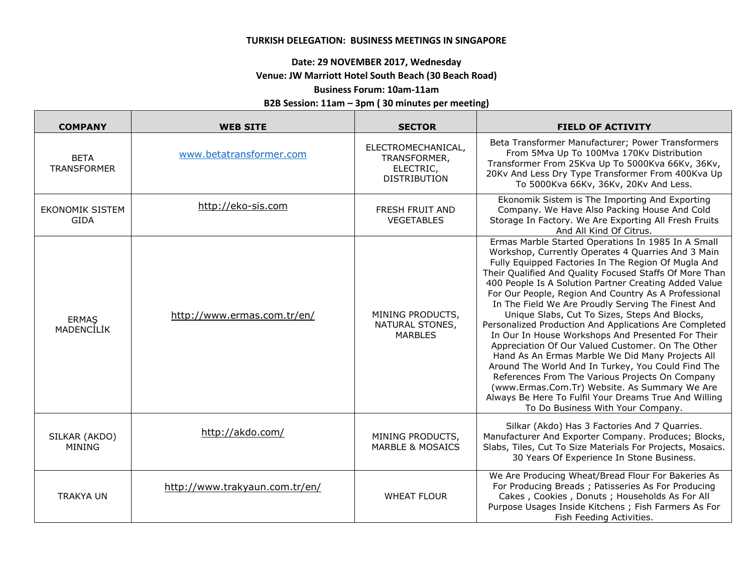### **TURKISH DELEGATION: BUSINESS MEETINGS IN SINGAPORE**

# **Date: 29 NOVEMBER 2017, Wednesday**

### **Venue: JW Marriott Hotel South Beach (30 Beach Road)**

## **Business Forum: 10am-11am**

#### **B2B Session: 11am – 3pm ( 30 minutes per meeting)**

г

| <b>COMPANY</b>                    | <b>WEB SITE</b>                | <b>SECTOR</b>                                                          | <b>FIELD OF ACTIVITY</b>                                                                                                                                                                                                                                                                                                                                                                                                                                                                                                                                                                                                                                                                                                                                                                                                                                                                                                           |
|-----------------------------------|--------------------------------|------------------------------------------------------------------------|------------------------------------------------------------------------------------------------------------------------------------------------------------------------------------------------------------------------------------------------------------------------------------------------------------------------------------------------------------------------------------------------------------------------------------------------------------------------------------------------------------------------------------------------------------------------------------------------------------------------------------------------------------------------------------------------------------------------------------------------------------------------------------------------------------------------------------------------------------------------------------------------------------------------------------|
| <b>BETA</b><br><b>TRANSFORMER</b> | www.betatransformer.com        | ELECTROMECHANICAL,<br>TRANSFORMER,<br>ELECTRIC,<br><b>DISTRIBUTION</b> | Beta Transformer Manufacturer; Power Transformers<br>From 5Mva Up To 100Mva 170Kv Distribution<br>Transformer From 25Kva Up To 5000Kva 66Kv, 36Kv,<br>20Kv And Less Dry Type Transformer From 400Kva Up<br>To 5000Kva 66Kv, 36Kv, 20Kv And Less.                                                                                                                                                                                                                                                                                                                                                                                                                                                                                                                                                                                                                                                                                   |
| EKONOMIK SISTEM<br><b>GIDA</b>    | http://eko-sis.com             | <b>FRESH FRUIT AND</b><br><b>VEGETABLES</b>                            | Ekonomik Sistem is The Importing And Exporting<br>Company. We Have Also Packing House And Cold<br>Storage In Factory. We Are Exporting All Fresh Fruits<br>And All Kind Of Citrus.                                                                                                                                                                                                                                                                                                                                                                                                                                                                                                                                                                                                                                                                                                                                                 |
| <b>ERMAS</b><br><b>MADENCILIK</b> | http://www.ermas.com.tr/en/    | MINING PRODUCTS,<br>NATURAL STONES,<br><b>MARBLES</b>                  | Ermas Marble Started Operations In 1985 In A Small<br>Workshop, Currently Operates 4 Quarries And 3 Main<br>Fully Equipped Factories In The Region Of Mugla And<br>Their Qualified And Quality Focused Staffs Of More Than<br>400 People Is A Solution Partner Creating Added Value<br>For Our People, Region And Country As A Professional<br>In The Field We Are Proudly Serving The Finest And<br>Unique Slabs, Cut To Sizes, Steps And Blocks,<br>Personalized Production And Applications Are Completed<br>In Our In House Workshops And Presented For Their<br>Appreciation Of Our Valued Customer. On The Other<br>Hand As An Ermas Marble We Did Many Projects All<br>Around The World And In Turkey, You Could Find The<br>References From The Various Projects On Company<br>(www.Ermas.Com.Tr) Website. As Summary We Are<br>Always Be Here To Fulfil Your Dreams True And Willing<br>To Do Business With Your Company. |
| SILKAR (AKDO)<br><b>MINING</b>    | http://akdo.com/               | MINING PRODUCTS,<br><b>MARBLE &amp; MOSAICS</b>                        | Silkar (Akdo) Has 3 Factories And 7 Quarries.<br>Manufacturer And Exporter Company. Produces; Blocks,<br>Slabs, Tiles, Cut To Size Materials For Projects, Mosaics.<br>30 Years Of Experience In Stone Business.                                                                                                                                                                                                                                                                                                                                                                                                                                                                                                                                                                                                                                                                                                                   |
| <b>TRAKYA UN</b>                  | http://www.trakyaun.com.tr/en/ | <b>WHEAT FLOUR</b>                                                     | We Are Producing Wheat/Bread Flour For Bakeries As<br>For Producing Breads; Patisseries As For Producing<br>Cakes, Cookies, Donuts; Households As For All<br>Purpose Usages Inside Kitchens; Fish Farmers As For<br>Fish Feeding Activities.                                                                                                                                                                                                                                                                                                                                                                                                                                                                                                                                                                                                                                                                                       |